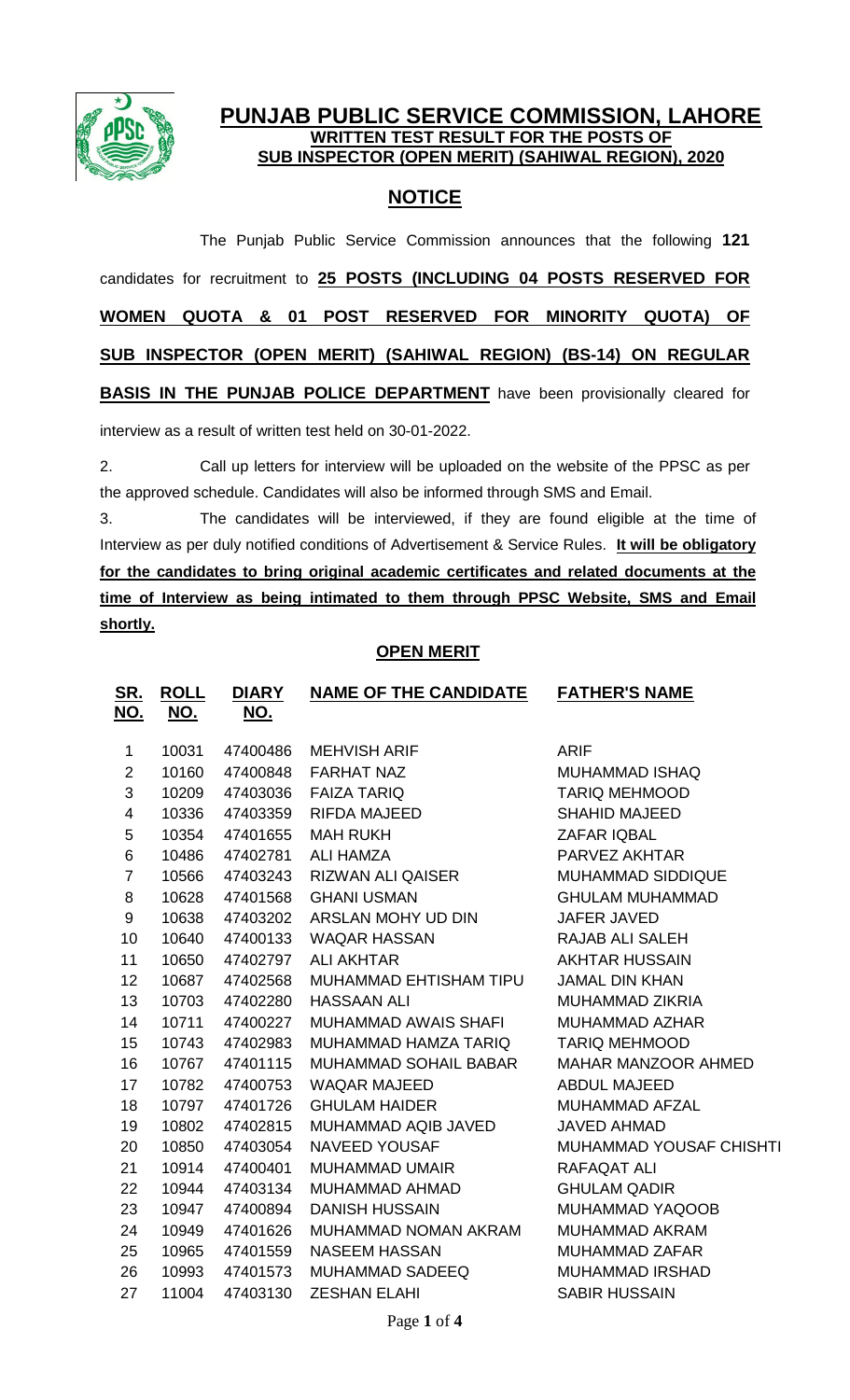

## **PUNJAB PUBLIC SERVICE COMMISSION, LAHORE WRITTEN TEST RESULT FOR THE POSTS OF SUB INSPECTOR (OPEN MERIT) (SAHIWAL REGION), 2020**

# **NOTICE**

The Punjab Public Service Commission announces that the following **121** candidates for recruitment to **25 POSTS (INCLUDING 04 POSTS RESERVED FOR WOMEN QUOTA & 01 POST RESERVED FOR MINORITY QUOTA) OF SUB INSPECTOR (OPEN MERIT) (SAHIWAL REGION) (BS-14) ON REGULAR BASIS IN THE PUNJAB POLICE DEPARTMENT** have been provisionally cleared for interview as a result of written test held on 30-01-2022.

2. Call up letters for interview will be uploaded on the website of the PPSC as per the approved schedule. Candidates will also be informed through SMS and Email.

3. The candidates will be interviewed, if they are found eligible at the time of Interview as per duly notified conditions of Advertisement & Service Rules. **It will be obligatory for the candidates to bring original academic certificates and related documents at the time of Interview as being intimated to them through PPSC Website, SMS and Email shortly.**

## **OPEN MERIT**

| <u>SR.</u>              | <b>ROLL</b> | <u>DIARY</u> | <b>NAME OF THE CANDIDATE</b> | <b>FATHER'S NAME</b>           |
|-------------------------|-------------|--------------|------------------------------|--------------------------------|
| <u>NO.</u>              | <u>NO.</u>  | <u>NO.</u>   |                              |                                |
| 1                       | 10031       | 47400486     | <b>MEHVISH ARIF</b>          | <b>ARIF</b>                    |
| $\overline{2}$          | 10160       | 47400848     | <b>FARHAT NAZ</b>            | <b>MUHAMMAD ISHAQ</b>          |
| 3                       | 10209       | 47403036     | <b>FAIZA TARIQ</b>           | <b>TARIQ MEHMOOD</b>           |
| $\overline{\mathbf{4}}$ | 10336       | 47403359     | RIFDA MAJEED                 | <b>SHAHID MAJEED</b>           |
| 5                       | 10354       | 47401655     | <b>MAH RUKH</b>              | <b>ZAFAR IQBAL</b>             |
| 6                       | 10486       | 47402781     | <b>ALI HAMZA</b>             | PARVEZ AKHTAR                  |
| $\overline{7}$          | 10566       | 47403243     | <b>RIZWAN ALI QAISER</b>     | <b>MUHAMMAD SIDDIQUE</b>       |
| 8                       | 10628       | 47401568     | <b>GHANI USMAN</b>           | <b>GHULAM MUHAMMAD</b>         |
| 9                       | 10638       | 47403202     | ARSLAN MOHY UD DIN           | <b>JAFER JAVED</b>             |
| 10                      | 10640       | 47400133     | <b>WAQAR HASSAN</b>          | RAJAB ALI SALEH                |
| 11                      | 10650       | 47402797     | <b>ALI AKHTAR</b>            | <b>AKHTAR HUSSAIN</b>          |
| 12                      | 10687       | 47402568     | MUHAMMAD EHTISHAM TIPU       | <b>JAMAL DIN KHAN</b>          |
| 13                      | 10703       | 47402280     | <b>HASSAAN ALI</b>           | MUHAMMAD ZIKRIA                |
| 14                      | 10711       | 47400227     | MUHAMMAD AWAIS SHAFI         | MUHAMMAD AZHAR                 |
| 15                      | 10743       | 47402983     | MUHAMMAD HAMZA TARIQ         | <b>TARIQ MEHMOOD</b>           |
| 16                      | 10767       | 47401115     | MUHAMMAD SOHAIL BABAR        | MAHAR MANZOOR AHMED            |
| 17                      | 10782       | 47400753     | <b>WAQAR MAJEED</b>          | <b>ABDUL MAJEED</b>            |
| 18                      | 10797       | 47401726     | <b>GHULAM HAIDER</b>         | MUHAMMAD AFZAL                 |
| 19                      | 10802       | 47402815     | MUHAMMAD AQIB JAVED          | <b>JAVED AHMAD</b>             |
| 20                      | 10850       | 47403054     | <b>NAVEED YOUSAF</b>         | <b>MUHAMMAD YOUSAF CHISHTI</b> |
| 21                      | 10914       | 47400401     | MUHAMMAD UMAIR               | <b>RAFAQAT ALI</b>             |
| 22                      | 10944       | 47403134     | MUHAMMAD AHMAD               | <b>GHULAM QADIR</b>            |
| 23                      | 10947       | 47400894     | <b>DANISH HUSSAIN</b>        | <b>MUHAMMAD YAQOOB</b>         |
| 24                      | 10949       | 47401626     | MUHAMMAD NOMAN AKRAM         | <b>MUHAMMAD AKRAM</b>          |
| 25                      | 10965       | 47401559     | <b>NASEEM HASSAN</b>         | <b>MUHAMMAD ZAFAR</b>          |
| 26                      | 10993       | 47401573     | <b>MUHAMMAD SADEEQ</b>       | <b>MUHAMMAD IRSHAD</b>         |
| 27                      | 11004       | 47403130     | <b>ZESHAN ELAHI</b>          | <b>SABIR HUSSAIN</b>           |
|                         |             |              |                              |                                |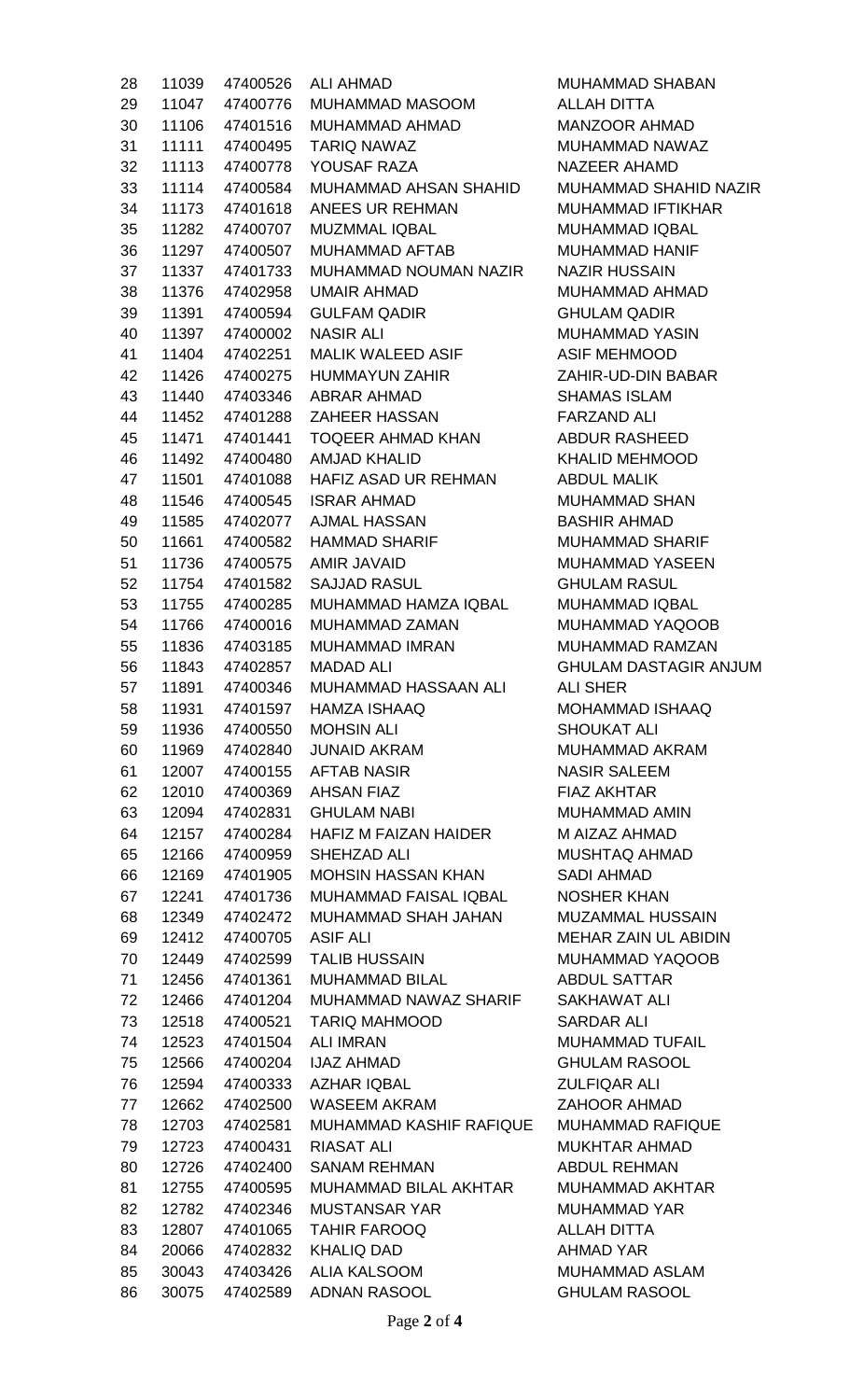| 28 | 11039 | 47400526       | <b>ALI AHMAD</b>                 |
|----|-------|----------------|----------------------------------|
| 29 |       | 11047 47400776 | MUHAMMAD MASOOM                  |
| 30 |       |                | 11106 47401516 MUHAMMAD AHMAD    |
| 31 |       |                | 11111 47400495 TARIQ NAWAZ       |
| 32 |       | 11113 47400778 | YOUSAF RAZA                      |
| 33 |       | 11114 47400584 | <b>MUHAMMAD AHSAN SHAHID</b>     |
| 34 |       | 11173 47401618 | ANEES UR REHMAN                  |
| 35 |       | 11282 47400707 | <b>MUZMMAL IQBAL</b>             |
| 36 |       | 11297 47400507 | <b>MUHAMMAD AFTAB</b>            |
| 37 |       | 11337 47401733 | MUHAMMAD NOUMAN NAZIR            |
| 38 |       | 11376 47402958 | <b>UMAIR AHMAD</b>               |
| 39 |       |                | 11391 47400594 GULFAM QADIR      |
| 40 |       | 11397 47400002 | NASIR ALI                        |
| 41 |       |                | 11404 47402251 MALIK WALEED ASIF |
|    |       |                |                                  |
| 42 |       |                | 11426 47400275 HUMMAYUN ZAHIR    |
| 43 |       | 11440 47403346 | <b>ABRAR AHMAD</b>               |
| 44 |       | 11452 47401288 | <b>ZAHEER HASSAN</b>             |
| 45 |       | 11471 47401441 | <b>TOQEER AHMAD KHAN</b>         |
| 46 |       |                | 11492 47400480 AMJAD KHALID      |
| 47 |       | 11501 47401088 | <b>HAFIZ ASAD UR REHMAN</b>      |
| 48 |       | 11546 47400545 | ISRAR AHMAD                      |
| 49 |       | 11585 47402077 | <b>AJMAL HASSAN</b>              |
| 50 |       |                | 11661 47400582 HAMMAD SHARIF     |
| 51 |       | 11736 47400575 | <b>AMIR JAVAID</b>               |
| 52 | 11754 | 47401582       | <b>SAJJAD RASUL</b>              |
| 53 | 11755 | 47400285       | MUHAMMAD HAMZA IQBAL             |
| 54 | 11766 |                | 47400016 MUHAMMAD ZAMAN          |
| 55 |       | 11836 47403185 | <b>MUHAMMAD IMRAN</b>            |
| 56 |       |                | 11843 47402857 MADAD ALI         |
| 57 |       | 11891 47400346 | <b>MUHAMMAD HASSAAN ALI</b>      |
| 58 | 11931 | 47401597       | <b>HAMZA ISHAAQ</b>              |
| 59 | 11936 | 47400550       | <b>MOHSIN ALI</b>                |
| 60 | 11969 | 47402840       | <b>JUNAID AKRAM</b>              |
| 61 | 12007 | 47400155       | <b>AFTAB NASIR</b>               |
| 62 | 12010 | 47400369       | <b>AHSAN FIAZ</b>                |
| 63 | 12094 | 47402831       | <b>GHULAM NABI</b>               |
| 64 | 12157 | 47400284       | <b>HAFIZ M FAIZAN HAIDER</b>     |
| 65 | 12166 | 47400959       | SHEHZAD ALI                      |
| 66 | 12169 | 47401905       | <b>MOHSIN HASSAN KHAN</b>        |
| 67 | 12241 | 47401736       | MUHAMMAD FAISAL IQBAL            |
| 68 | 12349 | 47402472       | MUHAMMAD SHAH JAHAN              |
| 69 | 12412 | 47400705       | <b>ASIF ALI</b>                  |
| 70 | 12449 | 47402599       | <b>TALIB HUSSAIN</b>             |
| 71 | 12456 | 47401361       | <b>MUHAMMAD BILAL</b>            |
| 72 | 12466 | 47401204       | MUHAMMAD NAWAZ SHARIF            |
| 73 | 12518 | 47400521       | <b>TARIQ MAHMOOD</b>             |
| 74 | 12523 | 47401504       | <b>ALI IMRAN</b>                 |
| 75 | 12566 | 47400204       | <b>IJAZ AHMAD</b>                |
| 76 | 12594 | 47400333       | <b>AZHAR IQBAL</b>               |
| 77 | 12662 | 47402500       | WASEEM AKRAM                     |
| 78 | 12703 | 47402581       | <b>MUHAMMAD KASHIF RAFIQUE</b>   |
| 79 | 12723 | 47400431       | RIASAT ALI                       |
| 80 | 12726 | 47402400       | <b>SANAM REHMAN</b>              |
| 81 | 12755 | 47400595       | <b>MUHAMMAD BILAL AKHTAR</b>     |
| 82 | 12782 | 47402346       | <b>MUSTANSAR YAR</b>             |
| 83 | 12807 | 47401065       | <b>TAHIR FAROOQ</b>              |
| 84 | 20066 | 47402832       | <b>KHALIQ DAD</b>                |
| 85 | 30043 | 47403426       | <b>ALIA KALSOOM</b>              |
| 86 | 30075 | 47402589       | <b>ADNAN RASOOL</b>              |

MUHAMMAD SHABAN ALLAH DITTA MANZOOR AHMAD MUHAMMAD NAWAZ NAZEER AHAMD MUHAMMAD SHAHID NAZIR MUHAMMAD IFTIKHAR MUHAMMAD IQBAL MUHAMMAD HANIF **NAZIR HUSSAIN** MUHAMMAD AHMAD **GHULAM QADIR** MUHAMMAD YASIN ASIF MEHMOOD ZAHIR-UD-DIN BABAR SHAMAS ISLAM **FARZAND ALI** ABDUR RASHEED KHALID MEHMOOD ABDUL MALIK MUHAMMAD SHAN BASHIR AHMAD MUHAMMAD SHARIF MUHAMMAD YASEEN **GHULAM RASUL** MUHAMMAD IQBAL MUHAMMAD YAQOOB MUHAMMAD RAMZAN **GHULAM DASTAGIR ANJUM ALI SHER** MOHAMMAD ISHAAQ SHOUKAT ALI MUHAMMAD AKRAM **NASIR SALEEM** FIAZ AKHTAR MUHAMMAD AMIN M AIZAZ AHMAD **MUSHTAQ AHMAD** SADI AHMAD **NOSHER KHAN** MUZAMMAL HUSSAIN **MEHAR ZAIN UL ABIDIN** MUHAMMAD YAQOOB ABDUL SATTAR SAKHAWAT ALI SARDAR ALI MUHAMMAD TUFAIL GHULAM RASOOL **ZULFIQAR ALI** ZAHOOR AHMAD MUHAMMAD RAFIQUE MUKHTAR AHMAD ABDUL REHMAN MUHAMMAD AKHTAR MUHAMMAD YAR **ALLAH DITTA** AHMAD YAR MUHAMMAD ASLAM **GHULAM RASOOL**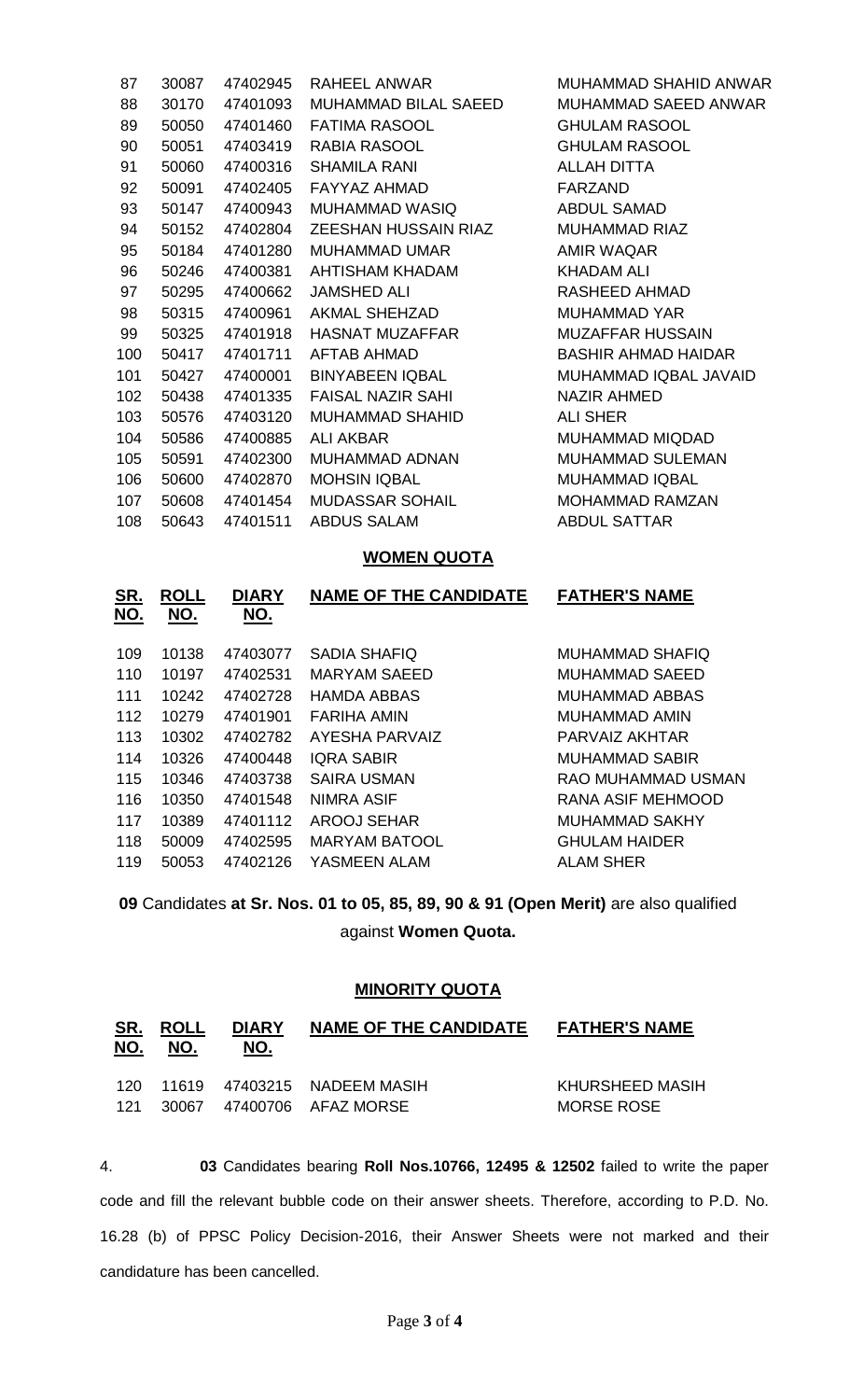| 87  | 30087 | 47402945 | RAHEEL ANWAR             | MUHAMMAD SHAHID ANWAR      |
|-----|-------|----------|--------------------------|----------------------------|
| 88  | 30170 | 47401093 | MUHAMMAD BILAL SAEED     | MUHAMMAD SAEED ANWAR       |
| 89  | 50050 | 47401460 | <b>FATIMA RASOOL</b>     | <b>GHULAM RASOOL</b>       |
| 90  | 50051 | 47403419 | RABIA RASOOL             | <b>GHULAM RASOOL</b>       |
| 91  | 50060 | 47400316 | <b>SHAMILA RANI</b>      | <b>ALLAH DITTA</b>         |
| 92  | 50091 | 47402405 | FAYYAZ AHMAD             | <b>FARZAND</b>             |
| 93  | 50147 | 47400943 | MUHAMMAD WASIQ           | <b>ABDUL SAMAD</b>         |
| 94  | 50152 | 47402804 | ZEESHAN HUSSAIN RIAZ     | <b>MUHAMMAD RIAZ</b>       |
| 95  | 50184 | 47401280 | MUHAMMAD UMAR            | <b>AMIR WAQAR</b>          |
| 96  | 50246 | 47400381 | AHTISHAM KHADAM          | <b>KHADAM ALI</b>          |
| 97  | 50295 | 47400662 | <b>JAMSHED ALI</b>       | RASHEED AHMAD              |
| 98  | 50315 | 47400961 | AKMAL SHEHZAD            | <b>MUHAMMAD YAR</b>        |
| 99  | 50325 | 47401918 | HASNAT MUZAFFAR          | <b>MUZAFFAR HUSSAIN</b>    |
| 100 | 50417 | 47401711 | <b>AFTAB AHMAD</b>       | <b>BASHIR AHMAD HAIDAR</b> |
| 101 | 50427 | 47400001 | BINYABEEN IQBAL          | MUHAMMAD IQBAL JAVAID      |
| 102 | 50438 | 47401335 | <b>FAISAL NAZIR SAHI</b> | NAZIR AHMED                |
| 103 | 50576 | 47403120 | MUHAMMAD SHAHID          | <b>ALI SHER</b>            |
| 104 | 50586 | 47400885 | <b>ALI AKBAR</b>         | MUHAMMAD MIQDAD            |
| 105 | 50591 | 47402300 | MUHAMMAD ADNAN           | <b>MUHAMMAD SULEMAN</b>    |
| 106 | 50600 | 47402870 | <b>MOHSIN IQBAL</b>      | <b>MUHAMMAD IQBAL</b>      |
| 107 | 50608 | 47401454 | <b>MUDASSAR SOHAIL</b>   | <b>MOHAMMAD RAMZAN</b>     |
| 108 | 50643 | 47401511 | <b>ABDUS SALAM</b>       | <b>ABDUL SATTAR</b>        |

### **WOMEN QUOTA**

| SR.<br><u>NO.</u> | <b>ROLL</b><br>NO. | <b>DIARY</b><br>NO. | <b>NAME OF THE CANDIDATE</b> | <b>FATHER'S NAME</b>  |
|-------------------|--------------------|---------------------|------------------------------|-----------------------|
| 109               | 10138              | 47403077            | <b>SADIA SHAFIQ</b>          | MUHAMMAD SHAFIQ       |
| 110               | 10197              | 47402531            | <b>MARYAM SAEED</b>          | <b>MUHAMMAD SAEED</b> |
| 111               | 10242              | 47402728            | <b>HAMDA ABBAS</b>           | <b>MUHAMMAD ABBAS</b> |
| 112               | 10279              | 47401901            | FARIHA AMIN                  | MUHAMMAD AMIN         |
| 113               | 10302              | 47402782            | AYESHA PARVAIZ               | PARVAIZ AKHTAR        |
| 114               | 10326              | 47400448            | <b>IQRA SABIR</b>            | <b>MUHAMMAD SABIR</b> |
| 115               | 10346              | 47403738            | <b>SAIRA USMAN</b>           | RAO MUHAMMAD USMAN    |
| 116               | 10350              | 47401548            | <b>NIMRA ASIF</b>            | RANA ASIF MEHMOOD     |
| 117               | 10389              | 47401112            | <b>AROOJ SEHAR</b>           | <b>MUHAMMAD SAKHY</b> |
| 118               | 50009              | 47402595            | MARYAM BATOOL                | <b>GHULAM HAIDER</b>  |
| 119               | 50053              | 47402126            | YASMEEN ALAM                 | <b>ALAM SHER</b>      |
|                   |                    |                     |                              |                       |

 Candidates **at Sr. Nos. 01 to 05, 85, 89, 90 & 91 (Open Merit)** are also qualified against **Women Quota.**

## **MINORITY QUOTA**

| <u>SR.</u><br>NO. | <b>ROLL</b><br>NO. | <b>DIARY</b><br>NO. | <b>NAME OF THE CANDIDATE</b>                             | <b>FATHER'S NAME</b>          |
|-------------------|--------------------|---------------------|----------------------------------------------------------|-------------------------------|
| 120.<br>121       |                    |                     | 11619 47403215 NADEEM MASIH<br>30067 47400706 AFAZ MORSE | KHURSHEED MASIH<br>MORSE ROSE |

4. **03** Candidates bearing **Roll Nos.10766, 12495 & 12502** failed to write the paper code and fill the relevant bubble code on their answer sheets. Therefore, according to P.D. No. 16.28 (b) of PPSC Policy Decision-2016, their Answer Sheets were not marked and their candidature has been cancelled.